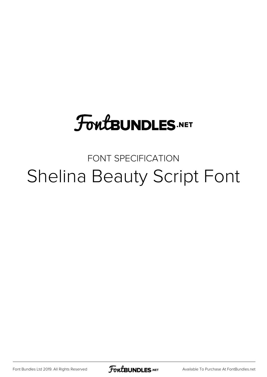## **FoutBUNDLES.NET**

## FONT SPECIFICATION Shelina Beauty Script Font

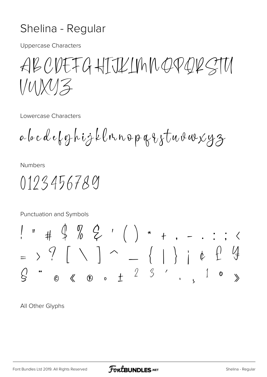## Shelina - Regular

**Uppercase Characters** 

ABCDEFGHIJKINNOPORSTU  $V$ UXUZ

Lowercase Characters

abcdeforhizklnnopqistuvuxyz

**Numbers** 

0123456789

Punctuation and Symbols

All Other Glyphs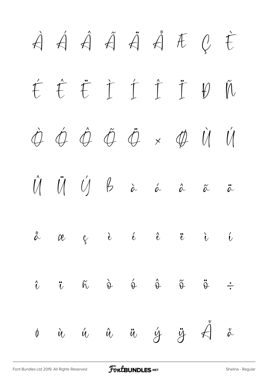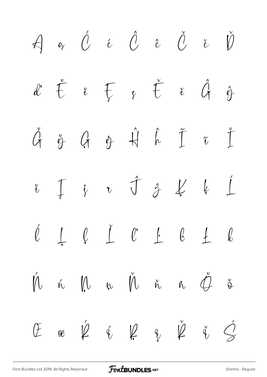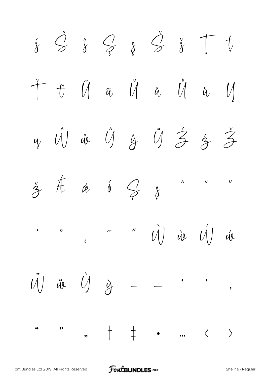$\hat{S} \hat{S} \nsubseteq S \nsubseteq \hat{S} \nsubseteq \hat{S} \top$  $\overline{\psi}$  $\hat{\mathbf{\hat{X}}}$  $\widetilde{u}$   $\widetilde{U}$   $\widetilde{u}$   $\widetilde{U}$  $\tilde{U}$  $\begin{array}{ccc} & & t \end{array}$  $\mathcal{U}$  $\stackrel{\circ}{\mathcal{U}}$  $\hat{\mathcal{U}}\!\!\left.\!\!\right)\hspace{0.2cm}\hat{w}\hspace{0.2cm}\hat{\mathcal{U}}\hspace{0.2cm}\hat{\mathcal{Y}}\hspace{0.2cm}\hat{\mathcal{Y}}\hspace{0.2cm}\hat{\mathcal{Y}}\hspace{0.2cm}\hat{\mathcal{Z}}\hspace{0.2cm}\hat{\mathcal{Z}}$  $\tilde{\mathcal{Z}}$  $\overline{u}$  $\frac{1}{3}$  #  $\alpha$  $\phi$   $\leftarrow$  $\boldsymbol{\mathsf{U}}$  $\boldsymbol{\wedge}$  $\vee$  $\delta$ "  $\dot{U}$  is  $\dot{U}$  $\mathbf{o}$  $\sim$ Úl  $\overline{t}$ ü Ù ỳ  $\overline{U}$  $\bullet$  $\bullet$  $+$   $+$  $\bullet\bullet$  $^{\bullet}$  $\begin{array}{ccccc} \left\langle & & \right\rangle & \end{array}$  $,$